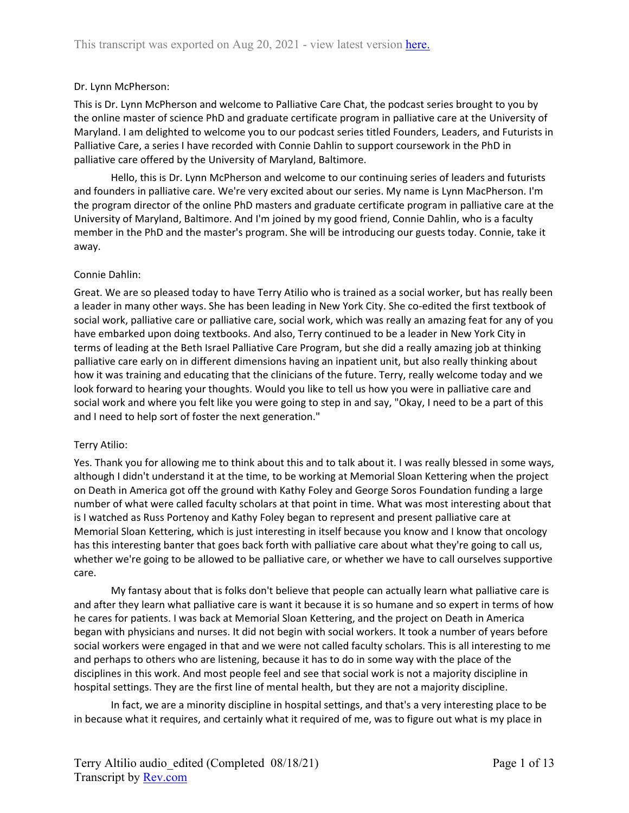## Dr. Lynn McPherson:

This is Dr. Lynn McPherson and welcome to Palliative Care Chat, the podcast series brought to you by the online master of science PhD and graduate certificate program in palliative care at the University of Maryland. I am delighted to welcome you to our podcast series titled Founders, Leaders, and Futurists in Palliative Care, a series I have recorded with Connie Dahlin to support coursework in the PhD in palliative care offered by the University of Maryland, Baltimore.

Hello, this is Dr. Lynn McPherson and welcome to our continuing series of leaders and futurists and founders in palliative care. We're very excited about our series. My name is Lynn MacPherson. I'm the program director of the online PhD masters and graduate certificate program in palliative care at the University of Maryland, Baltimore. And I'm joined by my good friend, Connie Dahlin, who is a faculty member in the PhD and the master's program. She will be introducing our guests today. Connie, take it away.

## Connie Dahlin:

Great. We are so pleased today to have Terry Atilio who is trained as a social worker, but has really been a leader in many other ways. She has been leading in New York City. She co-edited the first textbook of social work, palliative care or palliative care, social work, which was really an amazing feat for any of you have embarked upon doing textbooks. And also, Terry continued to be a leader in New York City in terms of leading at the Beth Israel Palliative Care Program, but she did a really amazing job at thinking palliative care early on in different dimensions having an inpatient unit, but also really thinking about how it was training and educating that the clinicians of the future. Terry, really welcome today and we look forward to hearing your thoughts. Would you like to tell us how you were in palliative care and social work and where you felt like you were going to step in and say, "Okay, I need to be a part of this and I need to help sort of foster the next generation."

### Terry Atilio:

Yes. Thank you for allowing me to think about this and to talk about it. I was really blessed in some ways, although I didn't understand it at the time, to be working at Memorial Sloan Kettering when the project on Death in America got off the ground with Kathy Foley and George Soros Foundation funding a large number of what were called faculty scholars at that point in time. What was most interesting about that is I watched as Russ Portenoy and Kathy Foley began to represent and present palliative care at Memorial Sloan Kettering, which is just interesting in itself because you know and I know that oncology has this interesting banter that goes back forth with palliative care about what they're going to call us, whether we're going to be allowed to be palliative care, or whether we have to call ourselves supportive care.

My fantasy about that is folks don't believe that people can actually learn what palliative care is and after they learn what palliative care is want it because it is so humane and so expert in terms of how he cares for patients. I was back at Memorial Sloan Kettering, and the project on Death in America began with physicians and nurses. It did not begin with social workers. It took a number of years before social workers were engaged in that and we were not called faculty scholars. This is all interesting to me and perhaps to others who are listening, because it has to do in some way with the place of the disciplines in this work. And most people feel and see that social work is not a majority discipline in hospital settings. They are the first line of mental health, but they are not a majority discipline.

In fact, we are a minority discipline in hospital settings, and that's a very interesting place to be in because what it requires, and certainly what it required of me, was to figure out what is my place in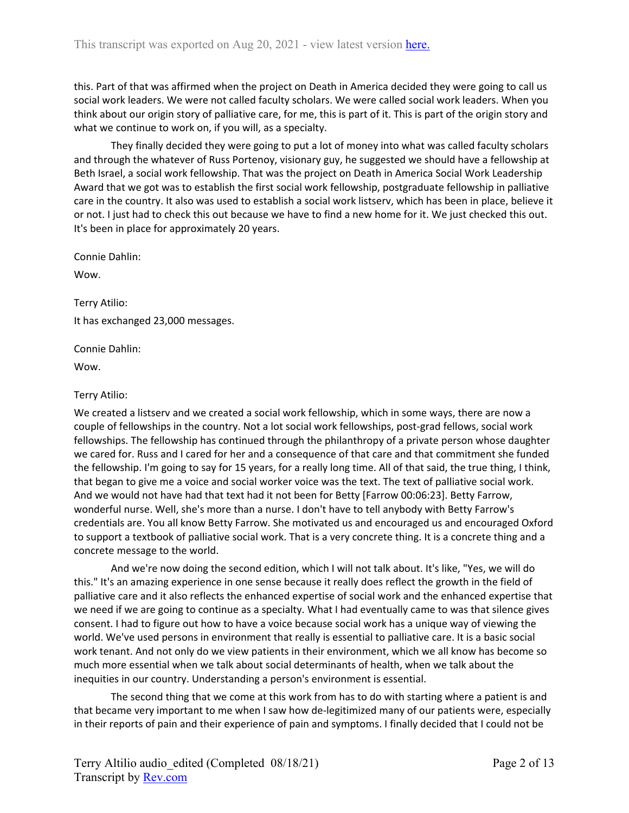this. Part of that was affirmed when the project on Death in America decided they were going to call us social work leaders. We were not called faculty scholars. We were called social work leaders. When you think about our origin story of palliative care, for me, this is part of it. This is part of the origin story and what we continue to work on, if you will, as a specialty.

They finally decided they were going to put a lot of money into what was called faculty scholars and through the whatever of Russ Portenoy, visionary guy, he suggested we should have a fellowship at Beth Israel, a social work fellowship. That was the project on Death in America Social Work Leadership Award that we got was to establish the first social work fellowship, postgraduate fellowship in palliative care in the country. It also was used to establish a social work listserv, which has been in place, believe it or not. I just had to check this out because we have to find a new home for it. We just checked this out. It's been in place for approximately 20 years.

Connie Dahlin:

Wow.

Terry Atilio:

It has exchanged 23,000 messages.

Connie Dahlin:

Wow.

### Terry Atilio:

We created a listserv and we created a social work fellowship, which in some ways, there are now a couple of fellowships in the country. Not a lot social work fellowships, post-grad fellows, social work fellowships. The fellowship has continued through the philanthropy of a private person whose daughter we cared for. Russ and I cared for her and a consequence of that care and that commitment she funded the fellowship. I'm going to say for 15 years, for a really long time. All of that said, the true thing, I think, that began to give me a voice and social worker voice was the text. The text of palliative social work. And we would not have had that text had it not been for Betty [Farrow 00:06:23]. Betty Farrow, wonderful nurse. Well, she's more than a nurse. I don't have to tell anybody with Betty Farrow's credentials are. You all know Betty Farrow. She motivated us and encouraged us and encouraged Oxford to support a textbook of palliative social work. That is a very concrete thing. It is a concrete thing and a concrete message to the world.

And we're now doing the second edition, which I will not talk about. It's like, "Yes, we will do this." It's an amazing experience in one sense because it really does reflect the growth in the field of palliative care and it also reflects the enhanced expertise of social work and the enhanced expertise that we need if we are going to continue as a specialty. What I had eventually came to was that silence gives consent. I had to figure out how to have a voice because social work has a unique way of viewing the world. We've used persons in environment that really is essential to palliative care. It is a basic social work tenant. And not only do we view patients in their environment, which we all know has become so much more essential when we talk about social determinants of health, when we talk about the inequities in our country. Understanding a person's environment is essential.

The second thing that we come at this work from has to do with starting where a patient is and that became very important to me when I saw how de-legitimized many of our patients were, especially in their reports of pain and their experience of pain and symptoms. I finally decided that I could not be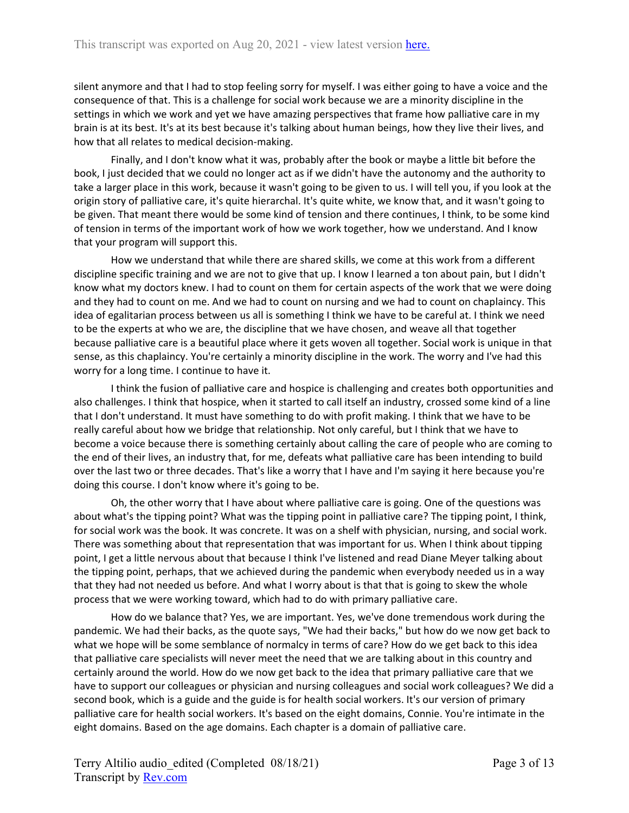silent anymore and that I had to stop feeling sorry for myself. I was either going to have a voice and the consequence of that. This is a challenge for social work because we are a minority discipline in the settings in which we work and yet we have amazing perspectives that frame how palliative care in my brain is at its best. It's at its best because it's talking about human beings, how they live their lives, and how that all relates to medical decision-making.

Finally, and I don't know what it was, probably after the book or maybe a little bit before the book, I just decided that we could no longer act as if we didn't have the autonomy and the authority to take a larger place in this work, because it wasn't going to be given to us. I will tell you, if you look at the origin story of palliative care, it's quite hierarchal. It's quite white, we know that, and it wasn't going to be given. That meant there would be some kind of tension and there continues, I think, to be some kind of tension in terms of the important work of how we work together, how we understand. And I know that your program will support this.

How we understand that while there are shared skills, we come at this work from a different discipline specific training and we are not to give that up. I know I learned a ton about pain, but I didn't know what my doctors knew. I had to count on them for certain aspects of the work that we were doing and they had to count on me. And we had to count on nursing and we had to count on chaplaincy. This idea of egalitarian process between us all is something I think we have to be careful at. I think we need to be the experts at who we are, the discipline that we have chosen, and weave all that together because palliative care is a beautiful place where it gets woven all together. Social work is unique in that sense, as this chaplaincy. You're certainly a minority discipline in the work. The worry and I've had this worry for a long time. I continue to have it.

I think the fusion of palliative care and hospice is challenging and creates both opportunities and also challenges. I think that hospice, when it started to call itself an industry, crossed some kind of a line that I don't understand. It must have something to do with profit making. I think that we have to be really careful about how we bridge that relationship. Not only careful, but I think that we have to become a voice because there is something certainly about calling the care of people who are coming to the end of their lives, an industry that, for me, defeats what palliative care has been intending to build over the last two or three decades. That's like a worry that I have and I'm saying it here because you're doing this course. I don't know where it's going to be.

Oh, the other worry that I have about where palliative care is going. One of the questions was about what's the tipping point? What was the tipping point in palliative care? The tipping point, I think, for social work was the book. It was concrete. It was on a shelf with physician, nursing, and social work. There was something about that representation that was important for us. When I think about tipping point, I get a little nervous about that because I think I've listened and read Diane Meyer talking about the tipping point, perhaps, that we achieved during the pandemic when everybody needed us in a way that they had not needed us before. And what I worry about is that that is going to skew the whole process that we were working toward, which had to do with primary palliative care.

How do we balance that? Yes, we are important. Yes, we've done tremendous work during the pandemic. We had their backs, as the quote says, "We had their backs," but how do we now get back to what we hope will be some semblance of normalcy in terms of care? How do we get back to this idea that palliative care specialists will never meet the need that we are talking about in this country and certainly around the world. How do we now get back to the idea that primary palliative care that we have to support our colleagues or physician and nursing colleagues and social work colleagues? We did a second book, which is a guide and the guide is for health social workers. It's our version of primary palliative care for health social workers. It's based on the eight domains, Connie. You're intimate in the eight domains. Based on the age domains. Each chapter is a domain of palliative care.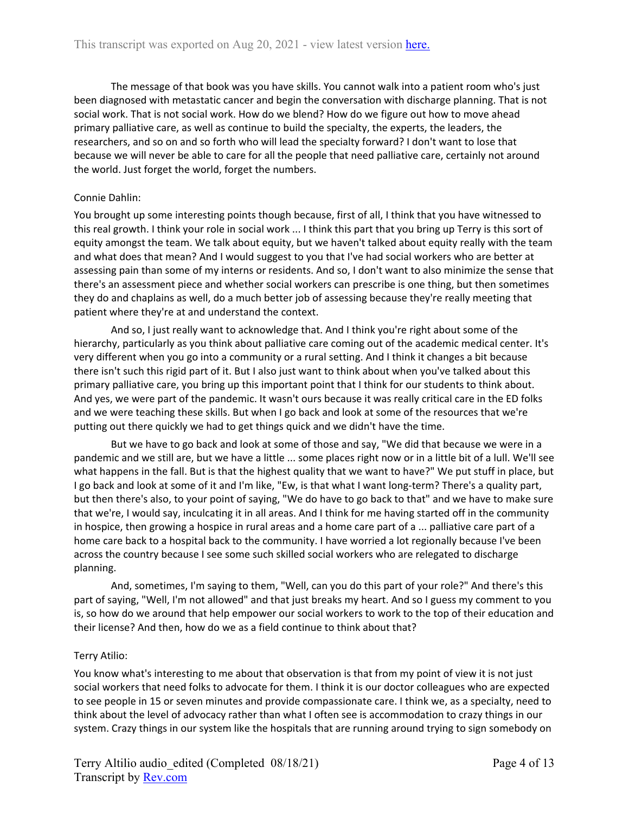The message of that book was you have skills. You cannot walk into a patient room who's just been diagnosed with metastatic cancer and begin the conversation with discharge planning. That is not social work. That is not social work. How do we blend? How do we figure out how to move ahead primary palliative care, as well as continue to build the specialty, the experts, the leaders, the researchers, and so on and so forth who will lead the specialty forward? I don't want to lose that because we will never be able to care for all the people that need palliative care, certainly not around the world. Just forget the world, forget the numbers.

## Connie Dahlin:

You brought up some interesting points though because, first of all, I think that you have witnessed to this real growth. I think your role in social work ... I think this part that you bring up Terry is this sort of equity amongst the team. We talk about equity, but we haven't talked about equity really with the team and what does that mean? And I would suggest to you that I've had social workers who are better at assessing pain than some of my interns or residents. And so, I don't want to also minimize the sense that there's an assessment piece and whether social workers can prescribe is one thing, but then sometimes they do and chaplains as well, do a much better job of assessing because they're really meeting that patient where they're at and understand the context.

And so, I just really want to acknowledge that. And I think you're right about some of the hierarchy, particularly as you think about palliative care coming out of the academic medical center. It's very different when you go into a community or a rural setting. And I think it changes a bit because there isn't such this rigid part of it. But I also just want to think about when you've talked about this primary palliative care, you bring up this important point that I think for our students to think about. And yes, we were part of the pandemic. It wasn't ours because it was really critical care in the ED folks and we were teaching these skills. But when I go back and look at some of the resources that we're putting out there quickly we had to get things quick and we didn't have the time.

But we have to go back and look at some of those and say, "We did that because we were in a pandemic and we still are, but we have a little ... some places right now or in a little bit of a lull. We'll see what happens in the fall. But is that the highest quality that we want to have?" We put stuff in place, but I go back and look at some of it and I'm like, "Ew, is that what I want long-term? There's a quality part, but then there's also, to your point of saying, "We do have to go back to that" and we have to make sure that we're, I would say, inculcating it in all areas. And I think for me having started off in the community in hospice, then growing a hospice in rural areas and a home care part of a ... palliative care part of a home care back to a hospital back to the community. I have worried a lot regionally because I've been across the country because I see some such skilled social workers who are relegated to discharge planning.

And, sometimes, I'm saying to them, "Well, can you do this part of your role?" And there's this part of saying, "Well, I'm not allowed" and that just breaks my heart. And so I guess my comment to you is, so how do we around that help empower our social workers to work to the top of their education and their license? And then, how do we as a field continue to think about that?

# Terry Atilio:

You know what's interesting to me about that observation is that from my point of view it is not just social workers that need folks to advocate for them. I think it is our doctor colleagues who are expected to see people in 15 or seven minutes and provide compassionate care. I think we, as a specialty, need to think about the level of advocacy rather than what I often see is accommodation to crazy things in our system. Crazy things in our system like the hospitals that are running around trying to sign somebody on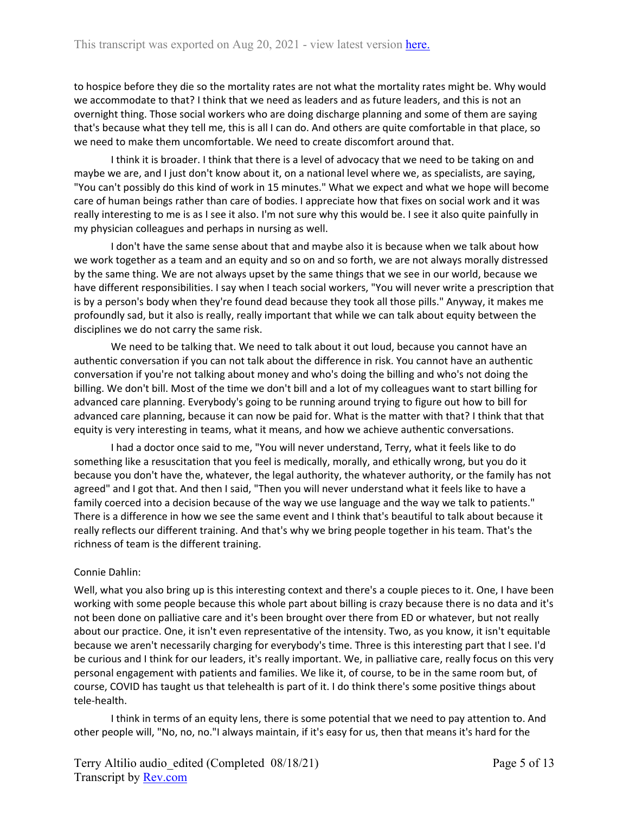to hospice before they die so the mortality rates are not what the mortality rates might be. Why would we accommodate to that? I think that we need as leaders and as future leaders, and this is not an overnight thing. Those social workers who are doing discharge planning and some of them are saying that's because what they tell me, this is all I can do. And others are quite comfortable in that place, so we need to make them uncomfortable. We need to create discomfort around that.

I think it is broader. I think that there is a level of advocacy that we need to be taking on and maybe we are, and I just don't know about it, on a national level where we, as specialists, are saying, "You can't possibly do this kind of work in 15 minutes." What we expect and what we hope will become care of human beings rather than care of bodies. I appreciate how that fixes on social work and it was really interesting to me is as I see it also. I'm not sure why this would be. I see it also quite painfully in my physician colleagues and perhaps in nursing as well.

I don't have the same sense about that and maybe also it is because when we talk about how we work together as a team and an equity and so on and so forth, we are not always morally distressed by the same thing. We are not always upset by the same things that we see in our world, because we have different responsibilities. I say when I teach social workers, "You will never write a prescription that is by a person's body when they're found dead because they took all those pills." Anyway, it makes me profoundly sad, but it also is really, really important that while we can talk about equity between the disciplines we do not carry the same risk.

We need to be talking that. We need to talk about it out loud, because you cannot have an authentic conversation if you can not talk about the difference in risk. You cannot have an authentic conversation if you're not talking about money and who's doing the billing and who's not doing the billing. We don't bill. Most of the time we don't bill and a lot of my colleagues want to start billing for advanced care planning. Everybody's going to be running around trying to figure out how to bill for advanced care planning, because it can now be paid for. What is the matter with that? I think that that equity is very interesting in teams, what it means, and how we achieve authentic conversations.

I had a doctor once said to me, "You will never understand, Terry, what it feels like to do something like a resuscitation that you feel is medically, morally, and ethically wrong, but you do it because you don't have the, whatever, the legal authority, the whatever authority, or the family has not agreed" and I got that. And then I said, "Then you will never understand what it feels like to have a family coerced into a decision because of the way we use language and the way we talk to patients." There is a difference in how we see the same event and I think that's beautiful to talk about because it really reflects our different training. And that's why we bring people together in his team. That's the richness of team is the different training.

# Connie Dahlin:

Well, what you also bring up is this interesting context and there's a couple pieces to it. One, I have been working with some people because this whole part about billing is crazy because there is no data and it's not been done on palliative care and it's been brought over there from ED or whatever, but not really about our practice. One, it isn't even representative of the intensity. Two, as you know, it isn't equitable because we aren't necessarily charging for everybody's time. Three is this interesting part that I see. I'd be curious and I think for our leaders, it's really important. We, in palliative care, really focus on this very personal engagement with patients and families. We like it, of course, to be in the same room but, of course, COVID has taught us that telehealth is part of it. I do think there's some positive things about tele-health.

I think in terms of an equity lens, there is some potential that we need to pay attention to. And other people will, "No, no, no."I always maintain, if it's easy for us, then that means it's hard for the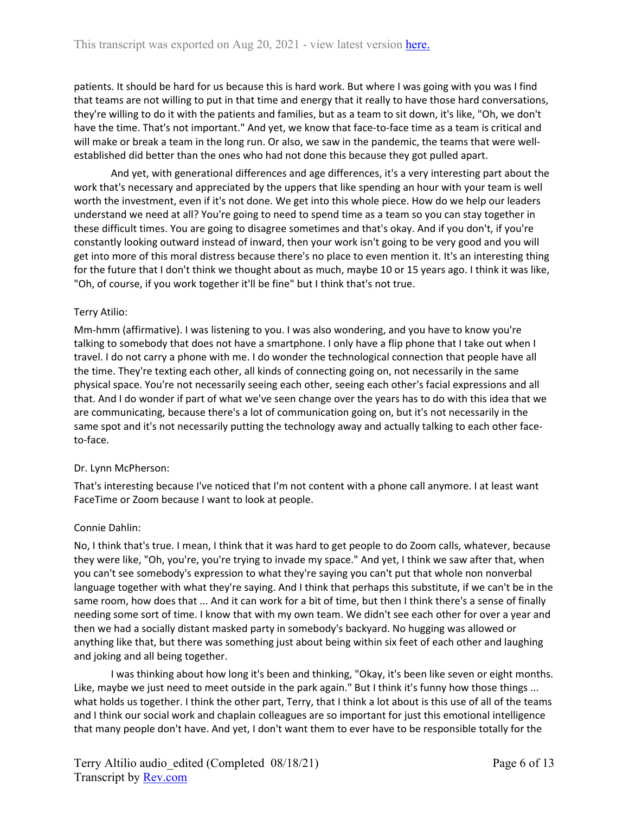patients. It should be hard for us because this is hard work. But where I was going with you was I find that teams are not willing to put in that time and energy that it really to have those hard conversations, they're willing to do it with the patients and families, but as a team to sit down, it's like, "Oh, we don't have the time. That's not important." And yet, we know that face-to-face time as a team is critical and will make or break a team in the long run. Or also, we saw in the pandemic, the teams that were wellestablished did better than the ones who had not done this because they got pulled apart.

And yet, with generational differences and age differences, it's a very interesting part about the work that's necessary and appreciated by the uppers that like spending an hour with your team is well worth the investment, even if it's not done. We get into this whole piece. How do we help our leaders understand we need at all? You're going to need to spend time as a team so you can stay together in these difficult times. You are going to disagree sometimes and that's okay. And if you don't, if you're constantly looking outward instead of inward, then your work isn't going to be very good and you will get into more of this moral distress because there's no place to even mention it. It's an interesting thing for the future that I don't think we thought about as much, maybe 10 or 15 years ago. I think it was like, "Oh, of course, if you work together it'll be fine" but I think that's not true.

## Terry Atilio:

Mm-hmm (affirmative). I was listening to you. I was also wondering, and you have to know you're talking to somebody that does not have a smartphone. I only have a flip phone that I take out when I travel. I do not carry a phone with me. I do wonder the technological connection that people have all the time. They're texting each other, all kinds of connecting going on, not necessarily in the same physical space. You're not necessarily seeing each other, seeing each other's facial expressions and all that. And I do wonder if part of what we've seen change over the years has to do with this idea that we are communicating, because there's a lot of communication going on, but it's not necessarily in the same spot and it's not necessarily putting the technology away and actually talking to each other faceto-face.

### Dr. Lynn McPherson:

That's interesting because I've noticed that I'm not content with a phone call anymore. I at least want FaceTime or Zoom because I want to look at people.

### Connie Dahlin:

No, I think that's true. I mean, I think that it was hard to get people to do Zoom calls, whatever, because they were like, "Oh, you're, you're trying to invade my space." And yet, I think we saw after that, when you can't see somebody's expression to what they're saying you can't put that whole non nonverbal language together with what they're saying. And I think that perhaps this substitute, if we can't be in the same room, how does that ... And it can work for a bit of time, but then I think there's a sense of finally needing some sort of time. I know that with my own team. We didn't see each other for over a year and then we had a socially distant masked party in somebody's backyard. No hugging was allowed or anything like that, but there was something just about being within six feet of each other and laughing and joking and all being together.

I was thinking about how long it's been and thinking, "Okay, it's been like seven or eight months. Like, maybe we just need to meet outside in the park again." But I think it's funny how those things ... what holds us together. I think the other part, Terry, that I think a lot about is this use of all of the teams and I think our social work and chaplain colleagues are so important for just this emotional intelligence that many people don't have. And yet, I don't want them to ever have to be responsible totally for the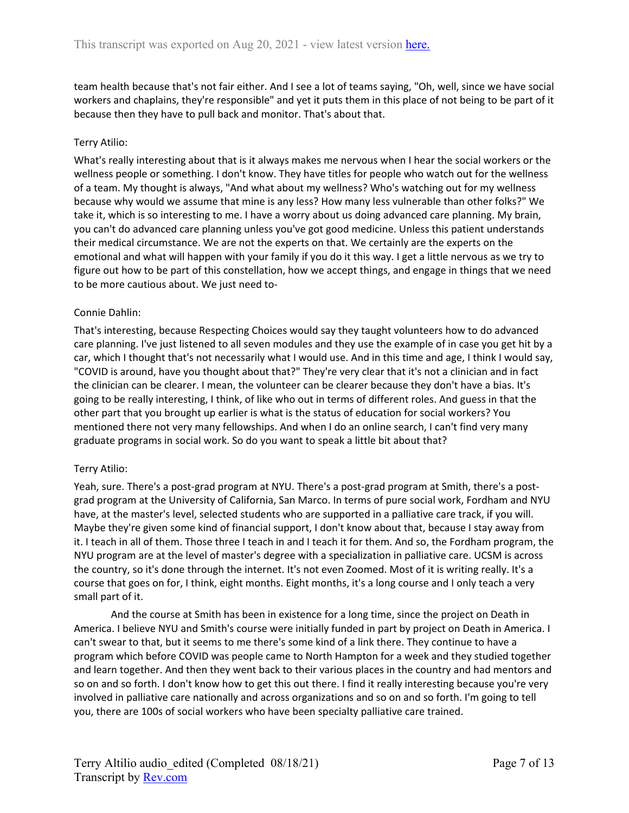team health because that's not fair either. And I see a lot of teams saying, "Oh, well, since we have social workers and chaplains, they're responsible" and yet it puts them in this place of not being to be part of it because then they have to pull back and monitor. That's about that.

## Terry Atilio:

What's really interesting about that is it always makes me nervous when I hear the social workers or the wellness people or something. I don't know. They have titles for people who watch out for the wellness of a team. My thought is always, "And what about my wellness? Who's watching out for my wellness because why would we assume that mine is any less? How many less vulnerable than other folks?" We take it, which is so interesting to me. I have a worry about us doing advanced care planning. My brain, you can't do advanced care planning unless you've got good medicine. Unless this patient understands their medical circumstance. We are not the experts on that. We certainly are the experts on the emotional and what will happen with your family if you do it this way. I get a little nervous as we try to figure out how to be part of this constellation, how we accept things, and engage in things that we need to be more cautious about. We just need to-

## Connie Dahlin:

That's interesting, because Respecting Choices would say they taught volunteers how to do advanced care planning. I've just listened to all seven modules and they use the example of in case you get hit by a car, which I thought that's not necessarily what I would use. And in this time and age, I think I would say, "COVID is around, have you thought about that?" They're very clear that it's not a clinician and in fact the clinician can be clearer. I mean, the volunteer can be clearer because they don't have a bias. It's going to be really interesting, I think, of like who out in terms of different roles. And guess in that the other part that you brought up earlier is what is the status of education for social workers? You mentioned there not very many fellowships. And when I do an online search, I can't find very many graduate programs in social work. So do you want to speak a little bit about that?

### Terry Atilio:

Yeah, sure. There's a post-grad program at NYU. There's a post-grad program at Smith, there's a postgrad program at the University of California, San Marco. In terms of pure social work, Fordham and NYU have, at the master's level, selected students who are supported in a palliative care track, if you will. Maybe they're given some kind of financial support, I don't know about that, because I stay away from it. I teach in all of them. Those three I teach in and I teach it for them. And so, the Fordham program, the NYU program are at the level of master's degree with a specialization in palliative care. UCSM is across the country, so it's done through the internet. It's not even Zoomed. Most of it is writing really. It's a course that goes on for, I think, eight months. Eight months, it's a long course and I only teach a very small part of it.

And the course at Smith has been in existence for a long time, since the project on Death in America. I believe NYU and Smith's course were initially funded in part by project on Death in America. I can't swear to that, but it seems to me there's some kind of a link there. They continue to have a program which before COVID was people came to North Hampton for a week and they studied together and learn together. And then they went back to their various places in the country and had mentors and so on and so forth. I don't know how to get this out there. I find it really interesting because you're very involved in palliative care nationally and across organizations and so on and so forth. I'm going to tell you, there are 100s of social workers who have been specialty palliative care trained.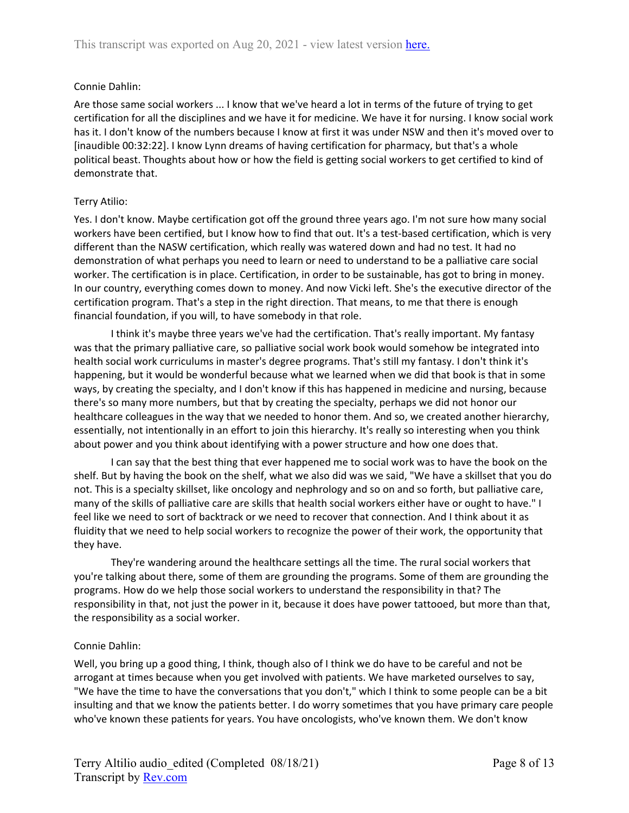### Connie Dahlin:

Are those same social workers ... I know that we've heard a lot in terms of the future of trying to get certification for all the disciplines and we have it for medicine. We have it for nursing. I know social work has it. I don't know of the numbers because I know at first it was under NSW and then it's moved over to [inaudible 00:32:22]. I know Lynn dreams of having certification for pharmacy, but that's a whole political beast. Thoughts about how or how the field is getting social workers to get certified to kind of demonstrate that.

### Terry Atilio:

Yes. I don't know. Maybe certification got off the ground three years ago. I'm not sure how many social workers have been certified, but I know how to find that out. It's a test-based certification, which is very different than the NASW certification, which really was watered down and had no test. It had no demonstration of what perhaps you need to learn or need to understand to be a palliative care social worker. The certification is in place. Certification, in order to be sustainable, has got to bring in money. In our country, everything comes down to money. And now Vicki left. She's the executive director of the certification program. That's a step in the right direction. That means, to me that there is enough financial foundation, if you will, to have somebody in that role.

I think it's maybe three years we've had the certification. That's really important. My fantasy was that the primary palliative care, so palliative social work book would somehow be integrated into health social work curriculums in master's degree programs. That's still my fantasy. I don't think it's happening, but it would be wonderful because what we learned when we did that book is that in some ways, by creating the specialty, and I don't know if this has happened in medicine and nursing, because there's so many more numbers, but that by creating the specialty, perhaps we did not honor our healthcare colleagues in the way that we needed to honor them. And so, we created another hierarchy, essentially, not intentionally in an effort to join this hierarchy. It's really so interesting when you think about power and you think about identifying with a power structure and how one does that.

I can say that the best thing that ever happened me to social work was to have the book on the shelf. But by having the book on the shelf, what we also did was we said, "We have a skillset that you do not. This is a specialty skillset, like oncology and nephrology and so on and so forth, but palliative care, many of the skills of palliative care are skills that health social workers either have or ought to have." I feel like we need to sort of backtrack or we need to recover that connection. And I think about it as fluidity that we need to help social workers to recognize the power of their work, the opportunity that they have.

They're wandering around the healthcare settings all the time. The rural social workers that you're talking about there, some of them are grounding the programs. Some of them are grounding the programs. How do we help those social workers to understand the responsibility in that? The responsibility in that, not just the power in it, because it does have power tattooed, but more than that, the responsibility as a social worker.

### Connie Dahlin:

Well, you bring up a good thing, I think, though also of I think we do have to be careful and not be arrogant at times because when you get involved with patients. We have marketed ourselves to say, "We have the time to have the conversations that you don't," which I think to some people can be a bit insulting and that we know the patients better. I do worry sometimes that you have primary care people who've known these patients for years. You have oncologists, who've known them. We don't know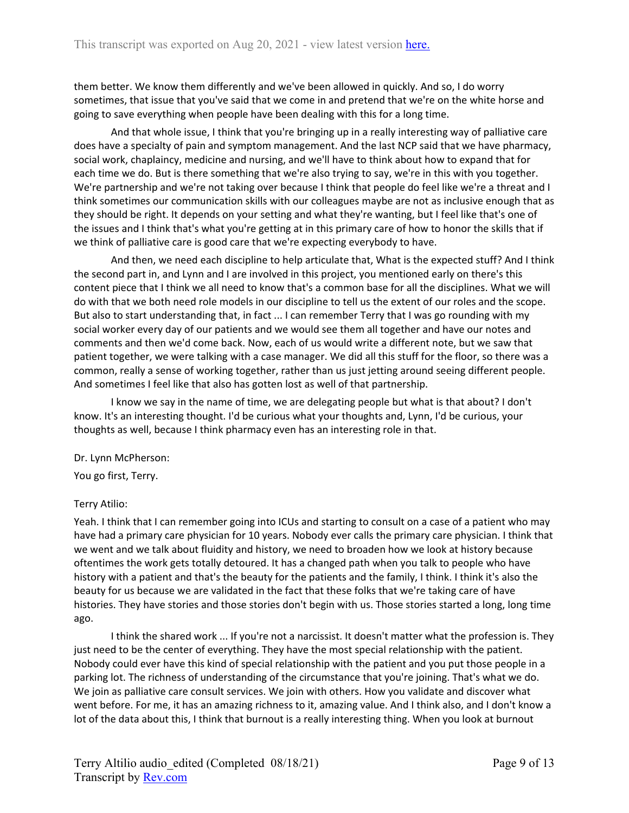them better. We know them differently and we've been allowed in quickly. And so, I do worry sometimes, that issue that you've said that we come in and pretend that we're on the white horse and going to save everything when people have been dealing with this for a long time.

And that whole issue, I think that you're bringing up in a really interesting way of palliative care does have a specialty of pain and symptom management. And the last NCP said that we have pharmacy, social work, chaplaincy, medicine and nursing, and we'll have to think about how to expand that for each time we do. But is there something that we're also trying to say, we're in this with you together. We're partnership and we're not taking over because I think that people do feel like we're a threat and I think sometimes our communication skills with our colleagues maybe are not as inclusive enough that as they should be right. It depends on your setting and what they're wanting, but I feel like that's one of the issues and I think that's what you're getting at in this primary care of how to honor the skills that if we think of palliative care is good care that we're expecting everybody to have.

And then, we need each discipline to help articulate that, What is the expected stuff? And I think the second part in, and Lynn and I are involved in this project, you mentioned early on there's this content piece that I think we all need to know that's a common base for all the disciplines. What we will do with that we both need role models in our discipline to tell us the extent of our roles and the scope. But also to start understanding that, in fact ... I can remember Terry that I was go rounding with my social worker every day of our patients and we would see them all together and have our notes and comments and then we'd come back. Now, each of us would write a different note, but we saw that patient together, we were talking with a case manager. We did all this stuff for the floor, so there was a common, really a sense of working together, rather than us just jetting around seeing different people. And sometimes I feel like that also has gotten lost as well of that partnership.

I know we say in the name of time, we are delegating people but what is that about? I don't know. It's an interesting thought. I'd be curious what your thoughts and, Lynn, I'd be curious, your thoughts as well, because I think pharmacy even has an interesting role in that.

### Dr. Lynn McPherson:

You go first, Terry.

### Terry Atilio:

Yeah. I think that I can remember going into ICUs and starting to consult on a case of a patient who may have had a primary care physician for 10 years. Nobody ever calls the primary care physician. I think that we went and we talk about fluidity and history, we need to broaden how we look at history because oftentimes the work gets totally detoured. It has a changed path when you talk to people who have history with a patient and that's the beauty for the patients and the family, I think. I think it's also the beauty for us because we are validated in the fact that these folks that we're taking care of have histories. They have stories and those stories don't begin with us. Those stories started a long, long time ago.

I think the shared work ... If you're not a narcissist. It doesn't matter what the profession is. They just need to be the center of everything. They have the most special relationship with the patient. Nobody could ever have this kind of special relationship with the patient and you put those people in a parking lot. The richness of understanding of the circumstance that you're joining. That's what we do. We join as palliative care consult services. We join with others. How you validate and discover what went before. For me, it has an amazing richness to it, amazing value. And I think also, and I don't know a lot of the data about this, I think that burnout is a really interesting thing. When you look at burnout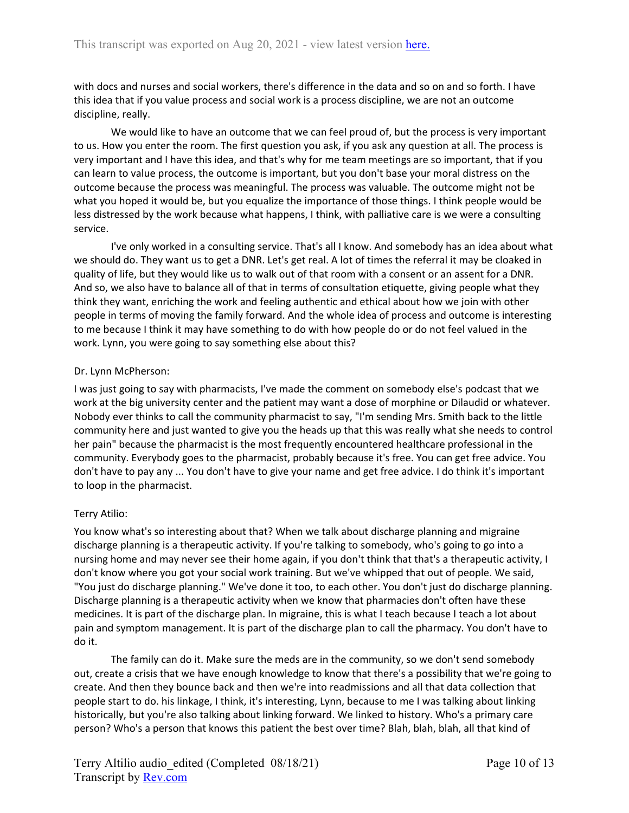with docs and nurses and social workers, there's difference in the data and so on and so forth. I have this idea that if you value process and social work is a process discipline, we are not an outcome discipline, really.

We would like to have an outcome that we can feel proud of, but the process is very important to us. How you enter the room. The first question you ask, if you ask any question at all. The process is very important and I have this idea, and that's why for me team meetings are so important, that if you can learn to value process, the outcome is important, but you don't base your moral distress on the outcome because the process was meaningful. The process was valuable. The outcome might not be what you hoped it would be, but you equalize the importance of those things. I think people would be less distressed by the work because what happens, I think, with palliative care is we were a consulting service.

I've only worked in a consulting service. That's all I know. And somebody has an idea about what we should do. They want us to get a DNR. Let's get real. A lot of times the referral it may be cloaked in quality of life, but they would like us to walk out of that room with a consent or an assent for a DNR. And so, we also have to balance all of that in terms of consultation etiquette, giving people what they think they want, enriching the work and feeling authentic and ethical about how we join with other people in terms of moving the family forward. And the whole idea of process and outcome is interesting to me because I think it may have something to do with how people do or do not feel valued in the work. Lynn, you were going to say something else about this?

### Dr. Lynn McPherson:

I was just going to say with pharmacists, I've made the comment on somebody else's podcast that we work at the big university center and the patient may want a dose of morphine or Dilaudid or whatever. Nobody ever thinks to call the community pharmacist to say, "I'm sending Mrs. Smith back to the little community here and just wanted to give you the heads up that this was really what she needs to control her pain" because the pharmacist is the most frequently encountered healthcare professional in the community. Everybody goes to the pharmacist, probably because it's free. You can get free advice. You don't have to pay any ... You don't have to give your name and get free advice. I do think it's important to loop in the pharmacist.

### Terry Atilio:

You know what's so interesting about that? When we talk about discharge planning and migraine discharge planning is a therapeutic activity. If you're talking to somebody, who's going to go into a nursing home and may never see their home again, if you don't think that that's a therapeutic activity, I don't know where you got your social work training. But we've whipped that out of people. We said, "You just do discharge planning." We've done it too, to each other. You don't just do discharge planning. Discharge planning is a therapeutic activity when we know that pharmacies don't often have these medicines. It is part of the discharge plan. In migraine, this is what I teach because I teach a lot about pain and symptom management. It is part of the discharge plan to call the pharmacy. You don't have to do it.

The family can do it. Make sure the meds are in the community, so we don't send somebody out, create a crisis that we have enough knowledge to know that there's a possibility that we're going to create. And then they bounce back and then we're into readmissions and all that data collection that people start to do. his linkage, I think, it's interesting, Lynn, because to me I was talking about linking historically, but you're also talking about linking forward. We linked to history. Who's a primary care person? Who's a person that knows this patient the best over time? Blah, blah, blah, all that kind of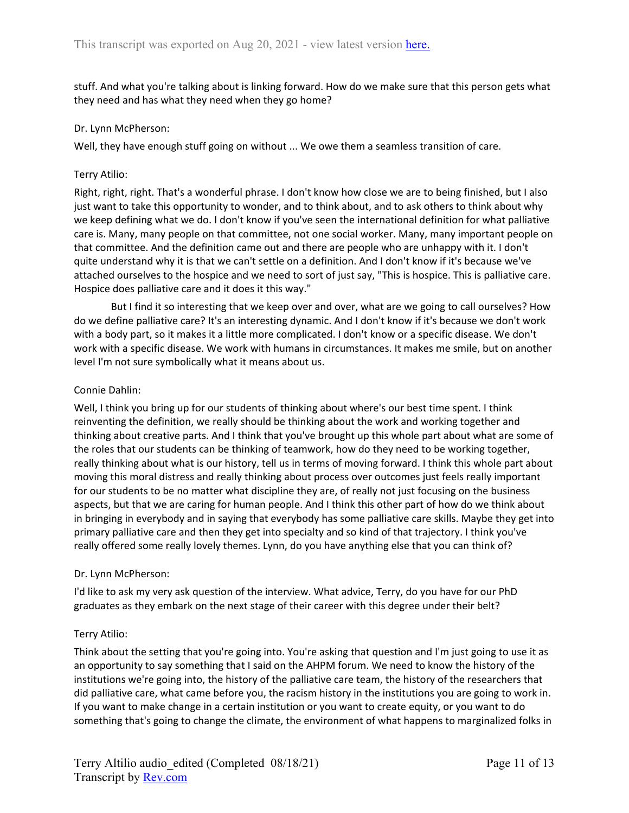stuff. And what you're talking about is linking forward. How do we make sure that this person gets what they need and has what they need when they go home?

### Dr. Lynn McPherson:

Well, they have enough stuff going on without ... We owe them a seamless transition of care.

#### Terry Atilio:

Right, right, right. That's a wonderful phrase. I don't know how close we are to being finished, but I also just want to take this opportunity to wonder, and to think about, and to ask others to think about why we keep defining what we do. I don't know if you've seen the international definition for what palliative care is. Many, many people on that committee, not one social worker. Many, many important people on that committee. And the definition came out and there are people who are unhappy with it. I don't quite understand why it is that we can't settle on a definition. And I don't know if it's because we've attached ourselves to the hospice and we need to sort of just say, "This is hospice. This is palliative care. Hospice does palliative care and it does it this way."

But I find it so interesting that we keep over and over, what are we going to call ourselves? How do we define palliative care? It's an interesting dynamic. And I don't know if it's because we don't work with a body part, so it makes it a little more complicated. I don't know or a specific disease. We don't work with a specific disease. We work with humans in circumstances. It makes me smile, but on another level I'm not sure symbolically what it means about us.

#### Connie Dahlin:

Well, I think you bring up for our students of thinking about where's our best time spent. I think reinventing the definition, we really should be thinking about the work and working together and thinking about creative parts. And I think that you've brought up this whole part about what are some of the roles that our students can be thinking of teamwork, how do they need to be working together, really thinking about what is our history, tell us in terms of moving forward. I think this whole part about moving this moral distress and really thinking about process over outcomes just feels really important for our students to be no matter what discipline they are, of really not just focusing on the business aspects, but that we are caring for human people. And I think this other part of how do we think about in bringing in everybody and in saying that everybody has some palliative care skills. Maybe they get into primary palliative care and then they get into specialty and so kind of that trajectory. I think you've really offered some really lovely themes. Lynn, do you have anything else that you can think of?

### Dr. Lynn McPherson:

I'd like to ask my very ask question of the interview. What advice, Terry, do you have for our PhD graduates as they embark on the next stage of their career with this degree under their belt?

### Terry Atilio:

Think about the setting that you're going into. You're asking that question and I'm just going to use it as an opportunity to say something that I said on the AHPM forum. We need to know the history of the institutions we're going into, the history of the palliative care team, the history of the researchers that did palliative care, what came before you, the racism history in the institutions you are going to work in. If you want to make change in a certain institution or you want to create equity, or you want to do something that's going to change the climate, the environment of what happens to marginalized folks in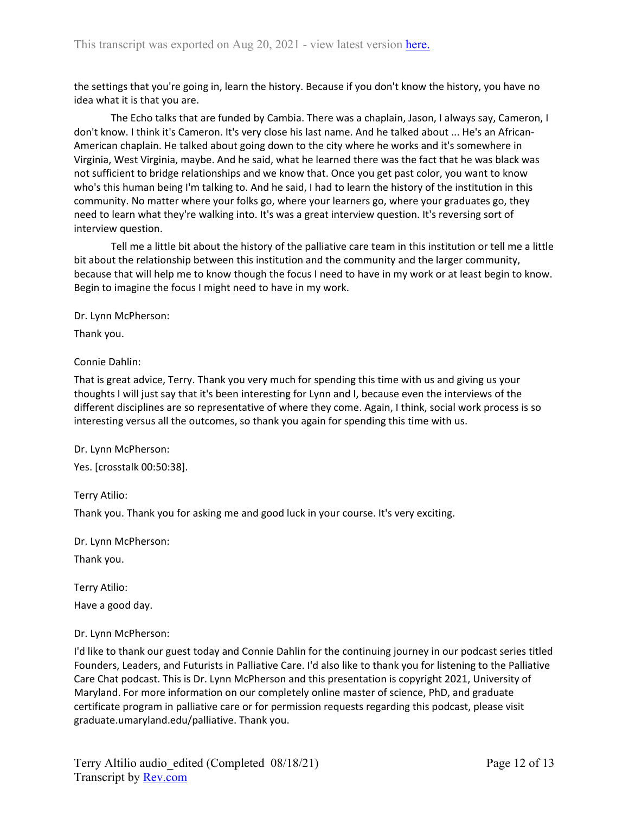the settings that you're going in, learn the history. Because if you don't know the history, you have no idea what it is that you are.

The Echo talks that are funded by Cambia. There was a chaplain, Jason, I always say, Cameron, I don't know. I think it's Cameron. It's very close his last name. And he talked about ... He's an African-American chaplain. He talked about going down to the city where he works and it's somewhere in Virginia, West Virginia, maybe. And he said, what he learned there was the fact that he was black was not sufficient to bridge relationships and we know that. Once you get past color, you want to know who's this human being I'm talking to. And he said, I had to learn the history of the institution in this community. No matter where your folks go, where your learners go, where your graduates go, they need to learn what they're walking into. It's was a great interview question. It's reversing sort of interview question.

Tell me a little bit about the history of the palliative care team in this institution or tell me a little bit about the relationship between this institution and the community and the larger community, because that will help me to know though the focus I need to have in my work or at least begin to know. Begin to imagine the focus I might need to have in my work.

Dr. Lynn McPherson:

Thank you.

## Connie Dahlin:

That is great advice, Terry. Thank you very much for spending this time with us and giving us your thoughts I will just say that it's been interesting for Lynn and I, because even the interviews of the different disciplines are so representative of where they come. Again, I think, social work process is so interesting versus all the outcomes, so thank you again for spending this time with us.

### Dr. Lynn McPherson:

Yes. [crosstalk 00:50:38].

Terry Atilio:

Thank you. Thank you for asking me and good luck in your course. It's very exciting.

Dr. Lynn McPherson:

Thank you.

Terry Atilio: Have a good day.

### Dr. Lynn McPherson:

I'd like to thank our guest today and Connie Dahlin for the continuing journey in our podcast series titled Founders, Leaders, and Futurists in Palliative Care. I'd also like to thank you for listening to the Palliative Care Chat podcast. This is Dr. Lynn McPherson and this presentation is copyright 2021, University of Maryland. For more information on our completely online master of science, PhD, and graduate certificate program in palliative care or for permission requests regarding this podcast, please visit graduate.umaryland.edu/palliative. Thank you.